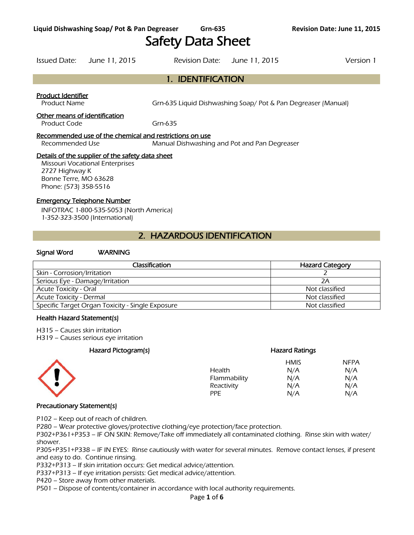# Safety Data Sheet

1. IDENTIFICATION

Issued Date: June 11, 2015 Revision Date: June 11, 2015 Version 1

## Product Identifier

Product Name Grn-635 Liquid Dishwashing Soap/ Pot & Pan Degreaser (Manual)

#### Other means of identification

Product Code Grn-635

#### Recommended use of the chemical and restrictions on use

Recommended Use Manual Dishwashing and Pot and Pan Degreaser

#### Details of the supplier of the safety data sheet

Missouri Vocational Enterprises 2727 Highway K Bonne Terre, MO 63628 Phone: (573) 358-5516

#### Emergency Telephone Number

INFOTRAC 1-800-535-5053 (North America) 1-352-323-3500 (International)

## 2. HAZARDOUS IDENTIFICATION

#### Signal Word WARNING

| <b>Classification</b>                            | <b>Hazard Category</b> |
|--------------------------------------------------|------------------------|
| Skin - Corrosion/Irritation                      |                        |
| Serious Eye - Damage/Irritation                  | 2Α                     |
| <b>Acute Toxicity - Oral</b>                     | Not classified         |
| <b>Acute Toxicity - Dermal</b>                   | Not classified         |
| Specific Target Organ Toxicity - Single Exposure | Not classified         |
|                                                  |                        |

#### Health Hazard Statement(s)

H315 – Causes skin irritation

H319 – Causes serious eye irritation

## Hazard Pictogram(s) Hazard Ratings HMIS NFPA Health N/A N/A Flammability  $N/A$  N/A Reactivity  $N/A$  N/A  $N/A$ PPE N/A N/A

#### Precautionary Statement(s)

P102 – Keep out of reach of children.

P280 – Wear protective gloves/protective clothing/eye protection/face protection.

P302+P361+P353 – IF ON SKIN: Remove/Take off immediately all contaminated clothing. Rinse skin with water/ shower.

P305+P351+P338 – IF IN EYES: Rinse cautiously with water for several minutes. Remove contact lenses, if present and easy to do. Continue rinsing.

P332+P313 – If skin irritation occurs: Get medical advice/attention.

P337+P313 – If eye irritation persists: Get medical advice/attention.

P420 – Store away from other materials.

P501 – Dispose of contents/container in accordance with local authority requirements.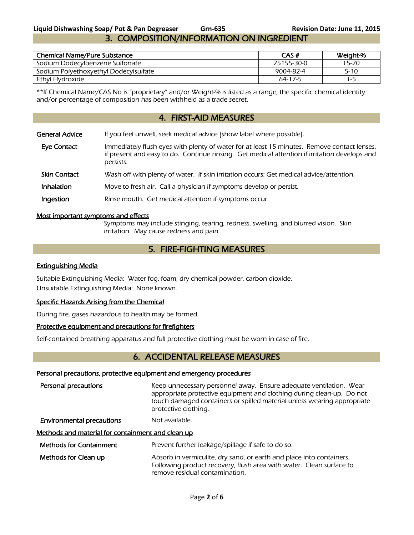## **Liquid Dishwashing Soap/ Pot & Pan Degreaser Grn-635 Revision Date: June 11, 2015** 3. COMPOSITION/INFORMATION ON INGREDIENT

| <b>Chemical Name/Pure Substance</b>   | CAS#          | Weight-% |
|---------------------------------------|---------------|----------|
| Sodium Dodecylbenzene Sulfonate       | 25155-30-0    | 15-20    |
| Sodium Polyethoxyethyl Dodecylsulfate | 9004-82-4     | $5 - 10$ |
| Ethyl Hydroxide                       | $64 - 17 - 5$ | 1-5      |

\*\*If Chemical Name/CAS No is "proprietary" and/or Weight-% is listed as a range, the specific chemical identity and/or percentage of composition has been withheld as a trade secret.

## 4. FIRST-AID MEASURES

| <b>General Advice</b> | If you feel unwell, seek medical advice (show label where possible).                                                                                                                                      |
|-----------------------|-----------------------------------------------------------------------------------------------------------------------------------------------------------------------------------------------------------|
| <b>Eye Contact</b>    | Immediately flush eyes with plenty of water for at least 15 minutes. Remove contact lenses,<br>if present and easy to do. Continue rinsing. Get medical attention if irritation develops and<br>persists. |
| <b>Skin Contact</b>   | Wash off with plenty of water. If skin irritation occurs: Get medical advice/attention.                                                                                                                   |
| Inhalation            | Move to fresh air. Call a physician if symptoms develop or persist.                                                                                                                                       |
|                       |                                                                                                                                                                                                           |

Ingestion Rinse mouth. Get medical attention if symptoms occur.

#### Most important symptoms and effects

Symptoms may include stinging, tearing, redness, swelling, and blurred vision. Skin irritation. May cause redness and pain.

## 5. FIRE-FIGHTING MEASURES

#### Extinguishing Media

Suitable Extinguishing Media: Water fog, foam, dry chemical powder, carbon dioxide. Unsuitable Extinguishing Media: None known.

#### Specific Hazards Arising from the Chemical

During fire, gases hazardous to health may be formed.

### Protective equipment and precautions for firefighters

Self-contained breathing apparatus and full protective clothing must be worn in case of fire.

## 6. ACCIDENTAL RELEASE MEASURES

#### Personal precautions, protective equipment and emergency procedures

Personal precautions **Keep unnecessary personnel away.** Ensure adequate ventilation. Wear appropriate protective equipment and clothing during clean-up. Do not touch damaged containers or spilled material unless wearing appropriate protective clothing.

**Environmental precautions** Not available.

#### Methods and material for containment and clean up

- Methods for Containment Prevent further leakage/spillage if safe to do so.
- Methods for Clean up **Absorb in vermiculite, dry sand, or earth and place into containers.** Following product recovery, flush area with water. Clean surface to remove residual contamination.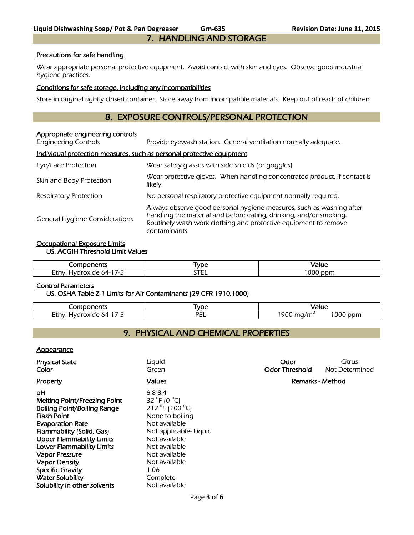#### Precautions for safe handling

Wear appropriate personal protective equipment. Avoid contact with skin and eyes. Observe good industrial hygiene practices.

#### Conditions for safe storage, including any incompatibilities

Store in original tightly closed container. Store away from incompatible materials. Keep out of reach of children.

## 8. EXPOSURE CONTROLS/PERSONAL PROTECTION

#### Appropriate engineering controls

Engineering Controls Provide eyewash station. General ventilation normally adequate.

#### Individual protection measures, such as personal protective equipment

| Eye/Face Protection                   | Wear safety glasses with side shields (or goggles).                                                                                                                                                                            |  |
|---------------------------------------|--------------------------------------------------------------------------------------------------------------------------------------------------------------------------------------------------------------------------------|--|
| Skin and Body Protection              | Wear protective gloves. When handling concentrated product, if contact is<br>likely.                                                                                                                                           |  |
| <b>Respiratory Protection</b>         | No personal respiratory protective equipment normally required.                                                                                                                                                                |  |
| <b>General Hygiene Considerations</b> | Always observe good personal hygiene measures, such as washing after<br>handling the material and before eating, drinking, and/or smoking.<br>Routinely wash work clothing and protective equipment to remove<br>contaminants. |  |

#### Occupational Exposure Limits US. ACGIH Threshold Limit Values

| ____<br>.<br>:7 IL                                       | <b>VDE</b>  |                                                   |
|----------------------------------------------------------|-------------|---------------------------------------------------|
| Eth<br>אר.<br>,xıae<br>$\cdot$<br>.<br>∼<br>$\mathbf{r}$ | ---<br>---- | $\sim$ $\sim$ $\sim$<br>$.$ nnm<br><b>OU</b><br>. |

#### Control Parameters

#### US. OSHA Table Z-1 Limits for Air Contaminants (29 CFR 1910.1000)

| .ononte<br>בו וי                                                                                | <b>VDC</b> | Value                                |
|-------------------------------------------------------------------------------------------------|------------|--------------------------------------|
| −.<br>Ffhvl<br>.xiae<br>$\sim$ $\sim$<br>זר<br>$\epsilon$<br>$\cdot \mathbf{v}$<br>ᄂᄖ<br>$\sim$ | DЕ<br>--   | $\sim$<br>1900<br>/m<br>ppm<br>' UUL |

## 9. PHYSICAL AND CHEMICAL PROPERTIES

#### **Appearance**

| <b>Physical State</b><br>Color                                                                                                                                                                                                                                                                                                                                        | Liquid<br>Green                                                                                                                                                                                                                           | Odor<br><b>Odor Threshold</b> | Citrus<br>Not Determined |
|-----------------------------------------------------------------------------------------------------------------------------------------------------------------------------------------------------------------------------------------------------------------------------------------------------------------------------------------------------------------------|-------------------------------------------------------------------------------------------------------------------------------------------------------------------------------------------------------------------------------------------|-------------------------------|--------------------------|
| <b>Property</b>                                                                                                                                                                                                                                                                                                                                                       | <b>Values</b>                                                                                                                                                                                                                             | <b>Remarks - Method</b>       |                          |
| рH<br>Melting Point/Freezing Point<br><b>Boiling Point/Boiling Range</b><br><b>Flash Point</b><br><b>Evaporation Rate</b><br>Flammability (Solid, Gas)<br><b>Upper Flammability Limits</b><br><b>Lower Flammability Limits</b><br><b>Vapor Pressure</b><br><b>Vapor Density</b><br><b>Specific Gravity</b><br><b>Water Solubility</b><br>Solubility in other solvents | $6.8 - 8.4$<br>32 $^{\circ}$ F (0 $^{\circ}$ C)<br>212 °F (100 °C)<br>None to boiling<br>Not available<br>Not applicable- Liquid<br>Not available<br>Not available<br>Not available<br>Not available<br>1.06<br>Complete<br>Not available |                               |                          |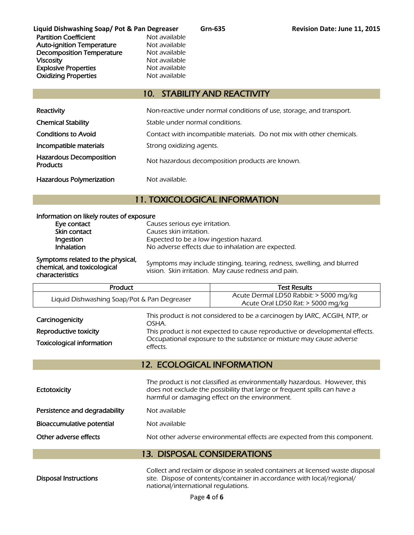**Liquid Dishwashing Soap/ Pot & Pan Degreaser Grn-635 Revision Date: June 11, 2015** Partition Coefficient Not available Auto-ignition Temperature Mot available<br>Decomposition Temperature Not available Decomposition Temperature **Viscosity** Not available Explosive Properties<br>
Oxidizing Properties<br>
Not available **Oxidizing Properties** 

## 10. STABILITY AND REACTIVITY

| Reactivity                                        | Non-reactive under normal conditions of use, storage, and transport.  |
|---------------------------------------------------|-----------------------------------------------------------------------|
| <b>Chemical Stability</b>                         | Stable under normal conditions.                                       |
| <b>Conditions to Avoid</b>                        | Contact with incompatible materials. Do not mix with other chemicals. |
| Incompatible materials                            | Strong oxidizing agents.                                              |
| <b>Hazardous Decomposition</b><br><b>Products</b> | Not hazardous decomposition products are known.                       |
| <b>Hazardous Polymerization</b>                   | Not available.                                                        |

## 11. TOXICOLOGICAL INFORMATION

| Information on likely routes of exposure                                            |                                                                                                                                |  |
|-------------------------------------------------------------------------------------|--------------------------------------------------------------------------------------------------------------------------------|--|
| Eye contact                                                                         | Causes serious eye irritation.                                                                                                 |  |
| Skin contact                                                                        | Causes skin irritation.                                                                                                        |  |
| Ingestion                                                                           | Expected to be a low ingestion hazard.                                                                                         |  |
| Inhalation                                                                          | No adverse effects due to inhalation are expected.                                                                             |  |
| Symptoms related to the physical,<br>chemical, and toxicological<br>characteristics | Symptoms may include stinging, tearing, redness, swelling, and blurred<br>vision. Skin irritation. May cause redness and pain. |  |

| Product                                                                      |                   | <b>Test Results</b>                                                                                                                                                                                                              |
|------------------------------------------------------------------------------|-------------------|----------------------------------------------------------------------------------------------------------------------------------------------------------------------------------------------------------------------------------|
| Liquid Dishwashing Soap/Pot & Pan Degreaser                                  |                   | Acute Dermal LD50 Rabbit: > 5000 mg/kg<br>Acute Oral LD50 Rat: > 5000 mg/kg                                                                                                                                                      |
| Carcinogenicity<br>Reproductive toxicity<br><b>Toxicological information</b> | OSHA.<br>effects. | This product is not considered to be a carcinogen by IARC, ACGIH, NTP, or<br>This product is not expected to cause reproductive or developmental effects.<br>Occupational exposure to the substance or mixture may cause adverse |

## 12. ECOLOGICAL INFORMATION

| Ectotoxicity                  | The product is not classified as environmentally hazardous. However, this<br>does not exclude the possibility that large or frequent spills can have a<br>harmful or damaging effect on the environment. |
|-------------------------------|----------------------------------------------------------------------------------------------------------------------------------------------------------------------------------------------------------|
| Persistence and degradability | Not available                                                                                                                                                                                            |
| Bioaccumulative potential     | Not available                                                                                                                                                                                            |
| Other adverse effects         | Not other adverse environmental effects are expected from this component.                                                                                                                                |
|                               |                                                                                                                                                                                                          |

## 13. DISPOSAL CONSIDERATIONS

Disposal Instructions

Collect and reclaim or dispose in sealed containers at licensed waste disposal site. Dispose of contents/container in accordance with local/regional/ national/international regulations.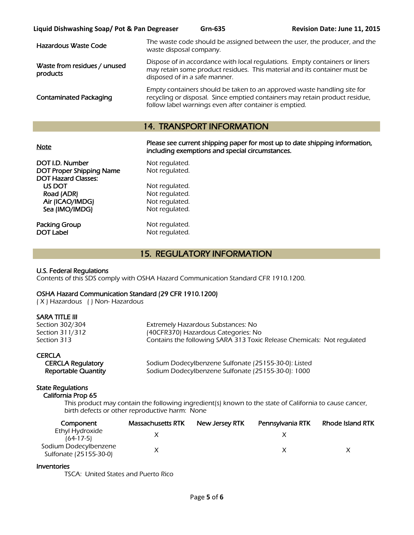| Hazardous Waste Code                     | The waste code should be assigned between the user, the producer, and the<br>waste disposal company.                                                                                                             |
|------------------------------------------|------------------------------------------------------------------------------------------------------------------------------------------------------------------------------------------------------------------|
| Waste from residues / unused<br>products | Dispose of in accordance with local regulations. Empty containers or liners<br>may retain some product residues. This material and its container must be<br>disposed of in a safe manner.                        |
| <b>Contaminated Packaging</b>            | Empty containers should be taken to an approved waste handling site for<br>recycling or disposal. Since emptied containers may retain product residue,<br>follow label warnings even after container is emptied. |

## 14. TRANSPORT INFORMATION

Please see current shipping paper for most up to date shipping information,<br>Note including exemptions and special circumstances.

| DOT I.D. Number                 | Not regulated. |
|---------------------------------|----------------|
| <b>DOT Proper Shipping Name</b> | Not regulated. |
| <b>DOT Hazard Classes:</b>      |                |
| US DOT                          | Not regulated. |
| Road (ADR)                      | Not regulated. |
| Air (ICAO/IMDG)                 | Not regulated. |
| Sea (IMO/IMDG)                  | Not regulated. |
|                                 |                |
| Packing Group                   | Not regulated. |

Not regulated. Not regulated. Not regulated. Not regulated. Not regulated. Not regulated.

DOT Label Not regulated.

## 15. REGULATORY INFORMATION

#### U.S. Federal Regulations

Contents of this SDS comply with OSHA Hazard Communication Standard CFR 1910.1200.

#### OSHA Hazard Communication Standard (29 CFR 1910.1200)

( X ) Hazardous ( ) Non- Hazardous

#### SARA TITLE III

| Section 302/304 | Extremely Hazardous Substances: No                                     |
|-----------------|------------------------------------------------------------------------|
| Section 311/312 | (40CFR370) Hazardous Categories: No                                    |
| Section 313     | Contains the following SARA 313 Toxic Release Chemicals: Not regulated |

#### **CERCLA**

| <b>CERCLA Regulatory</b>   |  |
|----------------------------|--|
| <b>Reportable Quantity</b> |  |

Sodium Dodecylbenzene Sulfonate (25155-30-0): Listed Sodium Dodecylbenzene Sulfonate (25155-30-0): 1000

#### State Regulations

California Prop 65

 This product may contain the following ingredient(s) known to the state of California to cause cancer, birth defects or other reproductive harm: None

| Component                                       | Massachusetts RTK | New Jersey RTK | Pennsylvania RTK | Rhode Island RTK |
|-------------------------------------------------|-------------------|----------------|------------------|------------------|
| Ethyl Hydroxide<br>$(64-17-5)$                  |                   |                |                  |                  |
| Sodium Dodecylbenzene<br>Sulfonate (25155-30-0) |                   |                |                  |                  |

#### Inventories

TSCA: United States and Puerto Rico